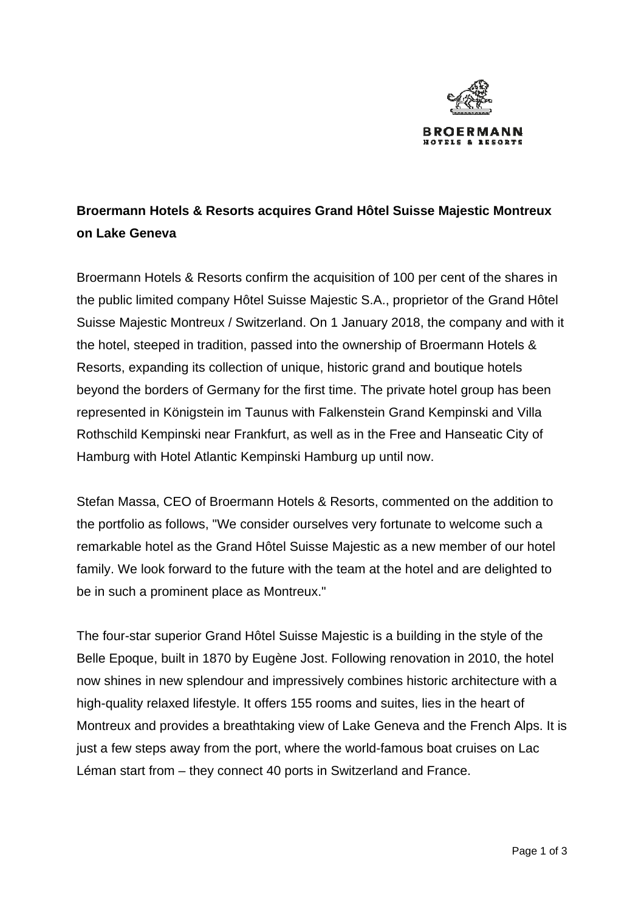

## **Broermann Hotels & Resorts acquires Grand Hôtel Suisse Majestic Montreux on Lake Geneva**

Broermann Hotels & Resorts confirm the acquisition of 100 per cent of the shares in the public limited company Hôtel Suisse Majestic S.A., proprietor of the Grand Hôtel Suisse Majestic Montreux / Switzerland. On 1 January 2018, the company and with it the hotel, steeped in tradition, passed into the ownership of Broermann Hotels & Resorts, expanding its collection of unique, historic grand and boutique hotels beyond the borders of Germany for the first time. The private hotel group has been represented in Königstein im Taunus with Falkenstein Grand Kempinski and Villa Rothschild Kempinski near Frankfurt, as well as in the Free and Hanseatic City of Hamburg with Hotel Atlantic Kempinski Hamburg up until now.

Stefan Massa, CEO of Broermann Hotels & Resorts, commented on the addition to the portfolio as follows, "We consider ourselves very fortunate to welcome such a remarkable hotel as the Grand Hôtel Suisse Majestic as a new member of our hotel family. We look forward to the future with the team at the hotel and are delighted to be in such a prominent place as Montreux."

The four-star superior Grand Hôtel Suisse Majestic is a building in the style of the Belle Epoque, built in 1870 by Eugène Jost. Following renovation in 2010, the hotel now shines in new splendour and impressively combines historic architecture with a high-quality relaxed lifestyle. It offers 155 rooms and suites, lies in the heart of Montreux and provides a breathtaking view of Lake Geneva and the French Alps. It is just a few steps away from the port, where the world-famous boat cruises on Lac Léman start from – they connect 40 ports in Switzerland and France.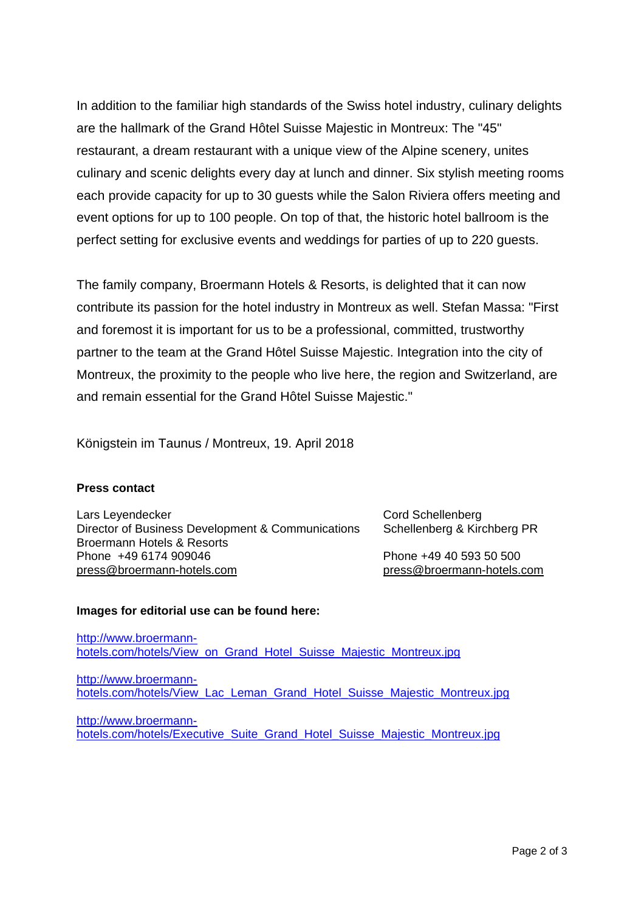In addition to the familiar high standards of the Swiss hotel industry, culinary delights are the hallmark of the Grand Hôtel Suisse Majestic in Montreux: The "45" restaurant, a dream restaurant with a unique view of the Alpine scenery, unites culinary and scenic delights every day at lunch and dinner. Six stylish meeting rooms each provide capacity for up to 30 guests while the Salon Riviera offers meeting and event options for up to 100 people. On top of that, the historic hotel ballroom is the perfect setting for exclusive events and weddings for parties of up to 220 guests.

The family company, Broermann Hotels & Resorts, is delighted that it can now contribute its passion for the hotel industry in Montreux as well. Stefan Massa: "First and foremost it is important for us to be a professional, committed, trustworthy partner to the team at the Grand Hôtel Suisse Majestic. Integration into the city of Montreux, the proximity to the people who live here, the region and Switzerland, are and remain essential for the Grand Hôtel Suisse Majestic."

Königstein im Taunus / Montreux, 19. April 2018

## **Press contact**

Lars Leyendecker Cord Schellenberg Director of Business Development & Communications Schellenberg & Kirchberg PR Broermann Hotels & Resorts Phone +49 6174 909046 Phone +49 40 593 50 500 press@broermann-hotels.com press@broermann-hotels.com

## **Images for editorial use can be found here:**

http://www.broermannhotels.com/hotels/View\_on\_Grand\_Hotel\_Suisse\_Majestic\_Montreux.jpg

http://www.broermannhotels.com/hotels/View\_Lac\_Leman\_Grand\_Hotel\_Suisse\_Majestic\_Montreux.jpg

http://www.broermannhotels.com/hotels/Executive\_Suite\_Grand\_Hotel\_Suisse\_Majestic\_Montreux.jpg